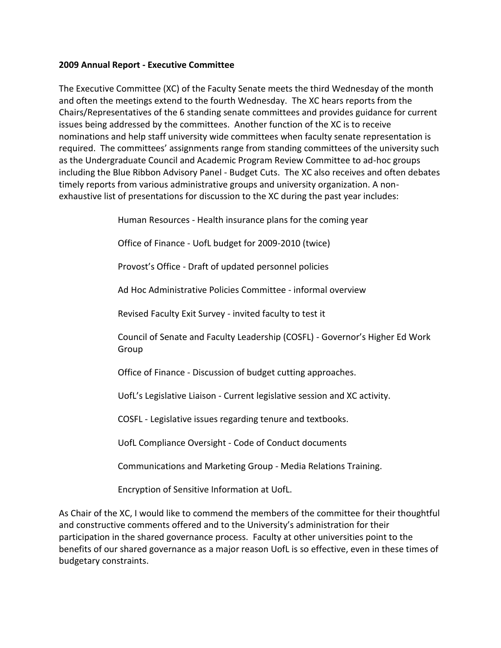## **2009 Annual Report - Executive Committee**

The Executive Committee (XC) of the Faculty Senate meets the third Wednesday of the month and often the meetings extend to the fourth Wednesday. The XC hears reports from the Chairs/Representatives of the 6 standing senate committees and provides guidance for current issues being addressed by the committees. Another function of the XC is to receive nominations and help staff university wide committees when faculty senate representation is required. The committees' assignments range from standing committees of the university such as the Undergraduate Council and Academic Program Review Committee to ad-hoc groups including the Blue Ribbon Advisory Panel - Budget Cuts. The XC also receives and often debates timely reports from various administrative groups and university organization. A nonexhaustive list of presentations for discussion to the XC during the past year includes:

Human Resources - Health insurance plans for the coming year

Office of Finance - UofL budget for 2009-2010 (twice)

Provost's Office - Draft of updated personnel policies

Ad Hoc Administrative Policies Committee - informal overview

Revised Faculty Exit Survey - invited faculty to test it

Council of Senate and Faculty Leadership (COSFL) - Governor's Higher Ed Work Group

Office of Finance - Discussion of budget cutting approaches.

UofL's Legislative Liaison - Current legislative session and XC activity.

COSFL - Legislative issues regarding tenure and textbooks.

UofL Compliance Oversight - Code of Conduct documents

Communications and Marketing Group - Media Relations Training.

Encryption of Sensitive Information at UofL.

As Chair of the XC, I would like to commend the members of the committee for their thoughtful and constructive comments offered and to the University's administration for their participation in the shared governance process. Faculty at other universities point to the benefits of our shared governance as a major reason UofL is so effective, even in these times of budgetary constraints.